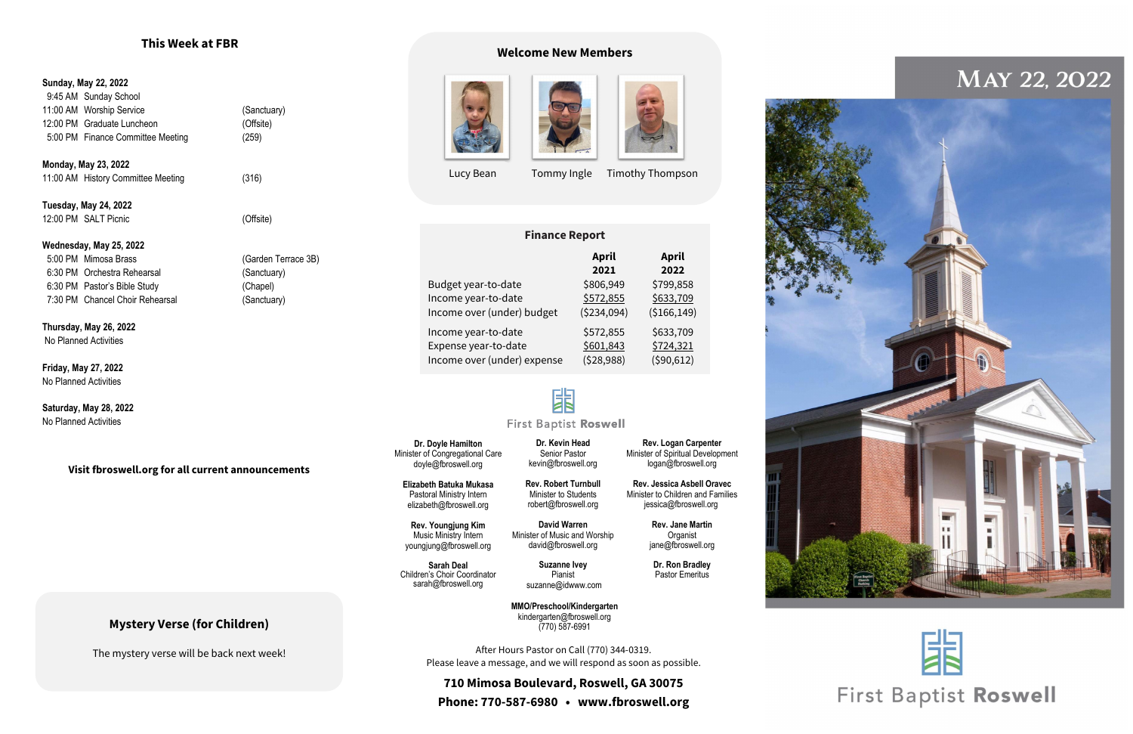## **Mystery Verse (for Children)**

The mystery verse will be back next week!

#### **Sunday, May 22, 2022**

 9:45 AM Sunday School 11:00 AM Worship Service (Sanctuary) 12:00 PM Graduate Luncheon (Offsite) 5:00 PM Finance Committee Meeting (259)

**Monday, May 23, 2022** 11:00 AM History Committee Meeting (316)

**Tuesday, May 24, 2022** 12:00 PM SALT Picnic (Offsite)

#### **Wednesday, May 25, 2022**

 5:00 PM Mimosa Brass (Garden Terrace 3B) 6:30 PM Orchestra Rehearsal (Sanctuary) 6:30 PM Pastor's Bible Study (Chapel) 7:30 PM Chancel Choir Rehearsal (Sanctuary)

> **Sarah Deal** Children's Choir Coordinator [sarah@fbroswell.org](mailto:sarah@fbroswell.org)

**Thursday, May 26, 2022** No Planned Activities

**Friday, May 27, 2022** No Planned Activities

**Saturday, May 28, 2022** No Planned Activities

#### **Visit fbroswell.org for all current announcements**

## **This Week at FBR**

**Dr. Doyle Hamilton** Minister of Congregational Care doyle@fbroswell.org

**Elizabeth Batuka Mukasa** Pastoral Ministry Intern [elizabeth@fbroswell.org](mailto:elizabeth@fbroswell.org)

**Rev. Youngjung Kim** Music Ministry Intern youngjung@fbroswell.org

**Dr. Kevin Head** Senior Pastor [kevin@fbroswell.org](mailto:kevin@fbroswell.org)

**Rev. Robert Turnbull** Minister to Students robert@fbroswell.org

**David Warren** Minister of Music and Worship [david@fbroswell.org](mailto:david@fbroswell.org)

> **Suzanne Ivey** Pianist [suzanne@idwww.com](mailto:suzanne@idwww.com)

**Rev. Logan Carpenter** Minister of Spiritual Development [logan@fbroswell.org](mailto:logan@fbroswell.org)

**Rev. Jessica Asbell Oravec** Minister to Children and Families jessica@fbroswell.org

> **Rev. Jane Martin Organist** jane@fbroswell.org

**Dr. Ron Bradley** Pastor Emeritus

After Hours Pastor on Call (770) 344-0319. Please leave a message, and we will respond as soon as possible.

**710 Mimosa Boulevard, Roswell, GA 30075 Phone: 770-587-6980 • www.fbroswell.org**



## MAY 22, 2022





## **First Baptist Roswell**

**MMO/Preschool/Kindergarten** kindergarten@fbroswell.org (770) 587-6991

#### **Finance Report**

|                             | <b>April</b> | <b>April</b> |
|-----------------------------|--------------|--------------|
|                             | 2021         | 2022         |
| Budget year-to-date         | \$806,949    | \$799,858    |
| Income year-to-date         | \$572,855    | \$633,709    |
| Income over (under) budget  | ( \$234,094) | (\$166,149)  |
| Income year-to-date         | \$572,855    | \$633,709    |
| Expense year-to-date        | \$601,843    | \$724,321    |
| Income over (under) expense | (528,988)    | (590, 612)   |

# 困

### **First Baptist Roswell**

#### **Welcome New Members**







Lucy Bean Tommy Ingle Timothy Thompson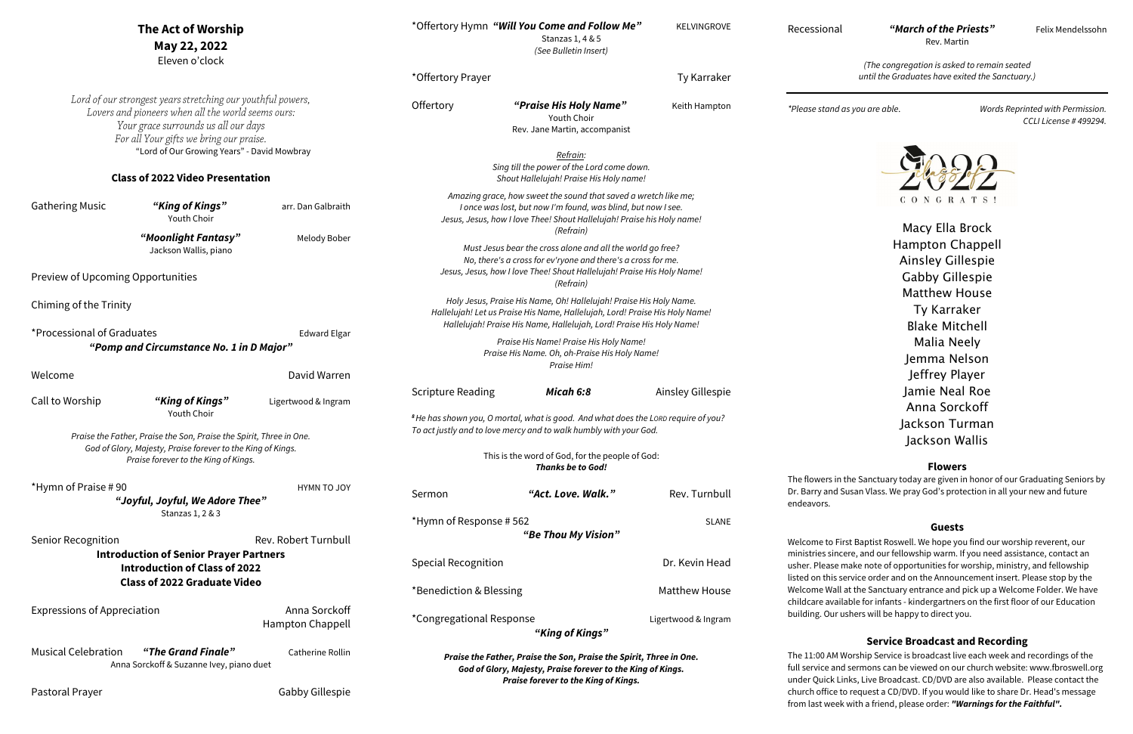Recessional *"March of the Priests"* Felix Mendelssohn

Rev. Martin

*(The congregation is asked to remain seated until the Graduates have exited the Sanctuary.)*

*\*Please stand as you are able. Words Reprinted with Permission. CCLI License # 499294.*



AM Worship Service is broadcast live each week and recordings of the and sermons can be viewed on our church website: www.fbroswell.org ck Links, Live Broadcast. CD/DVD are also available. Please contact the ice to request a CD/DVD. If you would like to share Dr. Head's message from last week with a friend, please order: *"Warnings for the Faithful".*

Macy Ella Brock Hampton Chappell Ainsley Gillespie Gabby Gillespie Matthew House Ty Karraker Blake Mitchell Malia Neely Jemma Nelson Jeffrey Player Jamie Neal Roe Anna Sorckoff Jackson Turman Jackson Wallis

#### **Flowers**

s in the Sanctuary today are given in honor of our Graduating Seniors by nd Susan Vlass. We pray God's protection in all your new and future

#### **Guests**

o First Baptist Roswell. We hope you find our worship reverent, our sincere, and our fellowship warm. If you need assistance, contact an ise make note of opportunities for worship, ministry, and fellowship lis service order and on the Announcement insert. Please stop by the Vall at the Sanctuary entrance and pick up a Welcome Folder. We have vailable for infants - kindergartners on the first floor of our Education ur ushers will be happy to direct you.

|                                                                                                                                                                                                      | The Act of Worship<br>May 22, 2022<br>Eleven o'clock                                   |                                                                                                                                                                                                                       |                                                                                                                                                                                                                           | *Offertory Hymn "Will You Come and Follow Me"<br>Stanzas 1, 4 & 5<br>(See Bulletin Insert)        | KELVINGROVE                                 | Recession                                 |
|------------------------------------------------------------------------------------------------------------------------------------------------------------------------------------------------------|----------------------------------------------------------------------------------------|-----------------------------------------------------------------------------------------------------------------------------------------------------------------------------------------------------------------------|---------------------------------------------------------------------------------------------------------------------------------------------------------------------------------------------------------------------------|---------------------------------------------------------------------------------------------------|---------------------------------------------|-------------------------------------------|
|                                                                                                                                                                                                      |                                                                                        |                                                                                                                                                                                                                       | *Offertory Prayer                                                                                                                                                                                                         |                                                                                                   | Ty Karraker                                 |                                           |
| Lord of our strongest years stretching our youthful powers,<br>Lovers and pioneers when all the world seems ours:<br>Your grace surrounds us all our days<br>For all Your gifts we bring our praise. |                                                                                        | Offertory                                                                                                                                                                                                             | "Praise His Holy Name"<br>Youth Choir<br>Rev. Jane Martin, accompanist                                                                                                                                                    | Keith Hampton                                                                                     | *Please sta                                 |                                           |
|                                                                                                                                                                                                      | "Lord of Our Growing Years" - David Mowbray<br><b>Class of 2022 Video Presentation</b> |                                                                                                                                                                                                                       |                                                                                                                                                                                                                           | Refrain:<br>Sing till the power of the Lord come down.<br>Shout Hallelujah! Praise His Holy name! |                                             |                                           |
| <b>Gathering Music</b>                                                                                                                                                                               | "King of Kings"<br>Youth Choir                                                         | arr. Dan Galbraith                                                                                                                                                                                                    | Amazing grace, how sweet the sound that saved a wretch like me;<br>I once was lost, but now I'm found, was blind, but now I see.<br>Jesus, Jesus, how I love Thee! Shout Hallelujah! Praise his Holy name!                |                                                                                                   |                                             |                                           |
|                                                                                                                                                                                                      | "Moonlight Fantasy"<br>Jackson Wallis, piano                                           | Melody Bober                                                                                                                                                                                                          | Must Jesus bear the cross alone and all the world go free?<br>No, there's a cross for ev'ryone and there's a cross for me.                                                                                                |                                                                                                   |                                             |                                           |
| Preview of Upcoming Opportunities                                                                                                                                                                    |                                                                                        |                                                                                                                                                                                                                       | Jesus, Jesus, how I love Thee! Shout Hallelujah! Praise His Holy Name!<br>(Refrain)                                                                                                                                       |                                                                                                   |                                             |                                           |
| Chiming of the Trinity                                                                                                                                                                               |                                                                                        |                                                                                                                                                                                                                       | Holy Jesus, Praise His Name, Oh! Hallelujah! Praise His Holy Name.<br>Hallelujah! Let us Praise His Name, Hallelujah, Lord! Praise His Holy Name!<br>Hallelujah! Praise His Name, Hallelujah, Lord! Praise His Holy Name! |                                                                                                   |                                             |                                           |
| *Processional of Graduates<br><b>Edward Elgar</b><br>"Pomp and Circumstance No. 1 in D Major"                                                                                                        |                                                                                        | Praise His Name! Praise His Holy Name!<br>Praise His Name. Oh, oh-Praise His Holy Name!<br>Praise Him!                                                                                                                |                                                                                                                                                                                                                           |                                                                                                   |                                             |                                           |
| Welcome                                                                                                                                                                                              |                                                                                        | David Warren                                                                                                                                                                                                          |                                                                                                                                                                                                                           |                                                                                                   |                                             |                                           |
| Call to Worship                                                                                                                                                                                      | "King of Kings"<br>Youth Choir                                                         | Ligertwood & Ingram                                                                                                                                                                                                   | <b>Scripture Reading</b>                                                                                                                                                                                                  | Micah 6:8                                                                                         | Ainsley Gillespie                           |                                           |
| Praise the Father, Praise the Son, Praise the Spirit, Three in One.<br>God of Glory, Majesty, Praise forever to the King of Kings.<br>Praise forever to the King of Kings.                           |                                                                                        | <sup>8</sup> He has shown you, O mortal, what is good. And what does the LORD require of you?<br>To act justly and to love mercy and to walk humbly with your God.<br>This is the word of God, for the people of God: |                                                                                                                                                                                                                           |                                                                                                   |                                             |                                           |
|                                                                                                                                                                                                      |                                                                                        |                                                                                                                                                                                                                       |                                                                                                                                                                                                                           | <b>Thanks be to God!</b>                                                                          |                                             | The flowers                               |
| *Hymn of Praise #90                                                                                                                                                                                  | "Joyful, Joyful, We Adore Thee"                                                        | <b>HYMN TO JOY</b>                                                                                                                                                                                                    | Sermon                                                                                                                                                                                                                    | "Act. Love. Walk."                                                                                | Rev. Turnbull                               | Dr. Barry ar<br>endeavors.                |
| Stanzas 1, 2 & 3                                                                                                                                                                                     |                                                                                        | *Hymn of Response #562<br><b>SLANE</b>                                                                                                                                                                                |                                                                                                                                                                                                                           |                                                                                                   |                                             |                                           |
| Rev. Robert Turnbull<br><b>Senior Recognition</b>                                                                                                                                                    |                                                                                        | "Be Thou My Vision"                                                                                                                                                                                                   |                                                                                                                                                                                                                           |                                                                                                   | Welcome to                                  |                                           |
| <b>Introduction of Senior Prayer Partners</b><br><b>Introduction of Class of 2022</b><br><b>Class of 2022 Graduate Video</b>                                                                         |                                                                                        | <b>Special Recognition</b>                                                                                                                                                                                            |                                                                                                                                                                                                                           | Dr. Kevin Head                                                                                    | ministries s<br>usher. Plea<br>listed on th |                                           |
|                                                                                                                                                                                                      |                                                                                        | *Benediction & Blessing<br>Matthew House                                                                                                                                                                              |                                                                                                                                                                                                                           | Welcome W                                                                                         |                                             |                                           |
| <b>Expressions of Appreciation</b>                                                                                                                                                                   |                                                                                        | Anna Sorckoff<br><b>Hampton Chappell</b>                                                                                                                                                                              | *Congregational Response                                                                                                                                                                                                  | "King of Kings"                                                                                   | Ligertwood & Ingram                         | childcare a<br>building. O                |
| <b>Musical Celebration</b><br>"The Grand Finale"<br>Catherine Rollin<br>Anna Sorckoff & Suzanne Ivey, piano duet                                                                                     |                                                                                        |                                                                                                                                                                                                                       | Praise the Father, Praise the Son, Praise the Spirit, Three in One.<br>God of Glory, Majesty, Praise forever to the King of Kings.<br>Praise forever to the King of Kings.                                                |                                                                                                   |                                             | The 11:00 A<br>full service<br>under Quic |
| Pastoral Prayer                                                                                                                                                                                      |                                                                                        | Gabby Gillespie                                                                                                                                                                                                       |                                                                                                                                                                                                                           |                                                                                                   |                                             | church offi                               |

### **Service Broadcast and Recording**